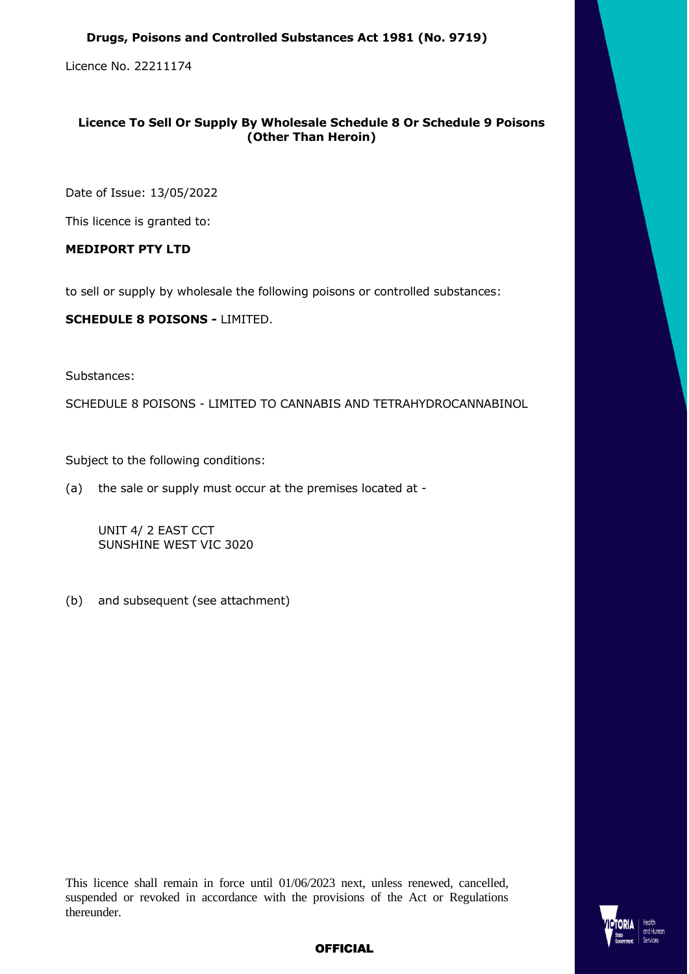#### **Drugs, Poisons and Controlled Substances Act 1981 (No. 9719)**

Licence No. 22211174

# **Licence To Sell Or Supply By Wholesale Schedule 8 Or Schedule 9 Poisons (Other Than Heroin)**

Date of Issue: 13/05/2022

This licence is granted to:

## **MEDIPORT PTY LTD**

to sell or supply by wholesale the following poisons or controlled substances:

**SCHEDULE 8 POISONS -** LIMITED.

Substances:

SCHEDULE 8 POISONS - LIMITED TO CANNABIS AND TETRAHYDROCANNABINOL

Subject to the following conditions:

(a) the sale or supply must occur at the premises located at -

UNIT 4/ 2 EAST CCT SUNSHINE WEST VIC 3020

(b) and subsequent (see attachment)

This licence shall remain in force until 01/06/2023 next, unless renewed, cancelled, suspended or revoked in accordance with the provisions of the Act or Regulations thereunder.



# **OFFICIAL**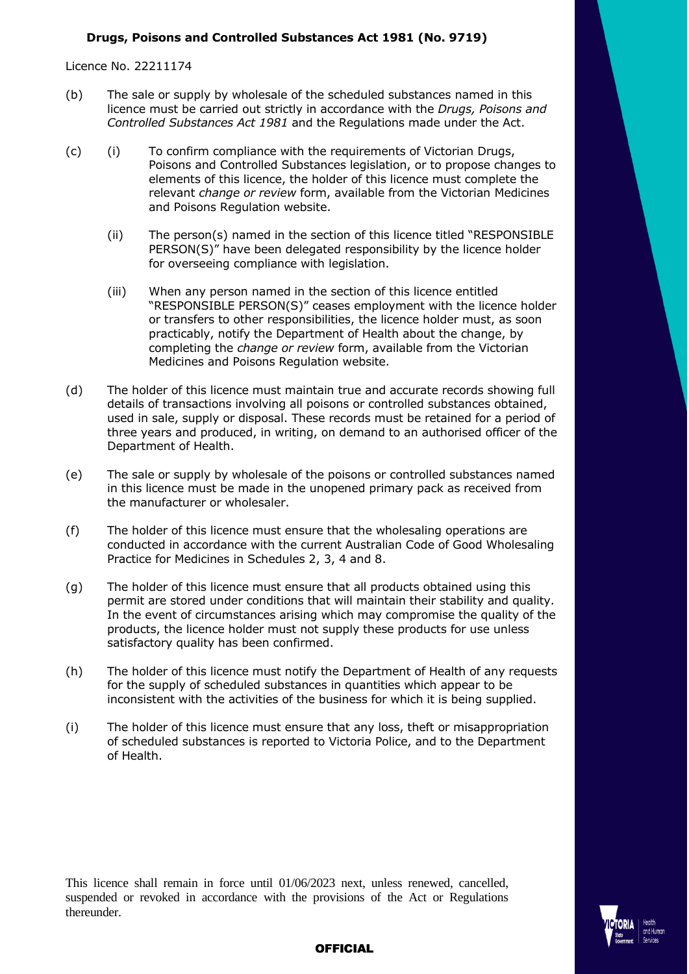#### **Drugs, Poisons and Controlled Substances Act 1981 (No. 9719)**

Licence No. 22211174

- (b) The sale or supply by wholesale of the scheduled substances named in this licence must be carried out strictly in accordance with the *Drugs, Poisons and Controlled Substances Act 1981* and the Regulations made under the Act.
- (c) (i) To confirm compliance with the requirements of Victorian Drugs, Poisons and Controlled Substances legislation, or to propose changes to elements of this licence, the holder of this licence must complete the relevant *change or review* form, available from the Victorian Medicines and Poisons Regulation website.
	- (ii) The person(s) named in the section of this licence titled "RESPONSIBLE PERSON(S)" have been delegated responsibility by the licence holder for overseeing compliance with legislation.
	- (iii) When any person named in the section of this licence entitled "RESPONSIBLE PERSON(S)" ceases employment with the licence holder or transfers to other responsibilities, the licence holder must, as soon practicably, notify the Department of Health about the change, by completing the *change or review* form, available from the Victorian Medicines and Poisons Regulation website.
- (d) The holder of this licence must maintain true and accurate records showing full details of transactions involving all poisons or controlled substances obtained, used in sale, supply or disposal. These records must be retained for a period of three years and produced, in writing, on demand to an authorised officer of the Department of Health.
- (e) The sale or supply by wholesale of the poisons or controlled substances named in this licence must be made in the unopened primary pack as received from the manufacturer or wholesaler.
- (f) The holder of this licence must ensure that the wholesaling operations are conducted in accordance with the current Australian Code of Good Wholesaling Practice for Medicines in Schedules 2, 3, 4 and 8.
- (g) The holder of this licence must ensure that all products obtained using this permit are stored under conditions that will maintain their stability and quality. In the event of circumstances arising which may compromise the quality of the products, the licence holder must not supply these products for use unless satisfactory quality has been confirmed.
- (h) The holder of this licence must notify the Department of Health of any requests for the supply of scheduled substances in quantities which appear to be inconsistent with the activities of the business for which it is being supplied.
- (i) The holder of this licence must ensure that any loss, theft or misappropriation of scheduled substances is reported to Victoria Police, and to the Department of Health.

This licence shall remain in force until 01/06/2023 next, unless renewed, cancelled, suspended or revoked in accordance with the provisions of the Act or Regulations thereunder.



## **OFFICIAL**